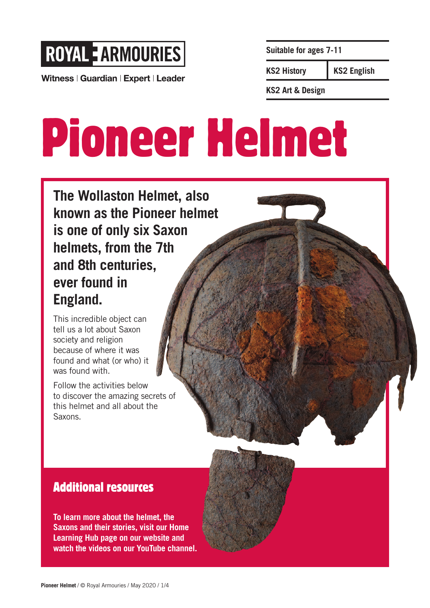

Witness | Guardian | Expert | Leader

**Suitable for ages 7-11**

**KS2 History**

**KS2 English**

**KS2 Art & Design**

# Pioneer Helmet

**The Wollaston Helmet, also known as the Pioneer helmet is one of only six Saxon helmets, from the 7th and 8th centuries, ever found in England.** 

This incredible object can tell us a lot about Saxon society and religion because of where it was found and what (or who) it was found with.

Follow the activities below to discover the amazing secrets of this helmet and all about the Saxons.

### Additional resources

**To learn more about the helmet, the Saxons and their stories, visit our Home Learning Hub page on our website and watch the videos on our YouTube channel.**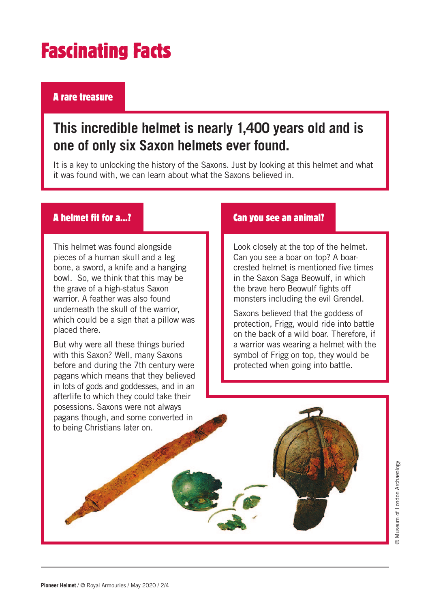# Fascinating Facts

#### A rare treasure

## **This incredible helmet is nearly 1,400 years old and is one of only six Saxon helmets ever found.**

It is a key to unlocking the history of the Saxons. Just by looking at this helmet and what it was found with, we can learn about what the Saxons believed in.

#### A helmet fit for a…?

This helmet was found alongside pieces of a human skull and a leg bone, a sword, a knife and a hanging bowl. So, we think that this may be the grave of a high-status Saxon warrior. A feather was also found underneath the skull of the warrior, which could be a sign that a pillow was placed there.

But why were all these things buried with this Saxon? Well, many Saxons before and during the 7th century were pagans which means that they believed in lots of gods and goddesses, and in an afterlife to which they could take their posessions. Saxons were not always pagans though, and some converted in to being Christians later on.

#### Can you see an animal?

Look closely at the top of the helmet. Can you see a boar on top? A boarcrested helmet is mentioned five times in the Saxon Saga Beowulf, in which the brave hero Beowulf fights off monsters including the evil Grendel.

Saxons believed that the goddess of protection, Frigg, would ride into battle on the back of a wild boar. Therefore, if a warrior was wearing a helmet with the symbol of Frigg on top, they would be protected when going into battle.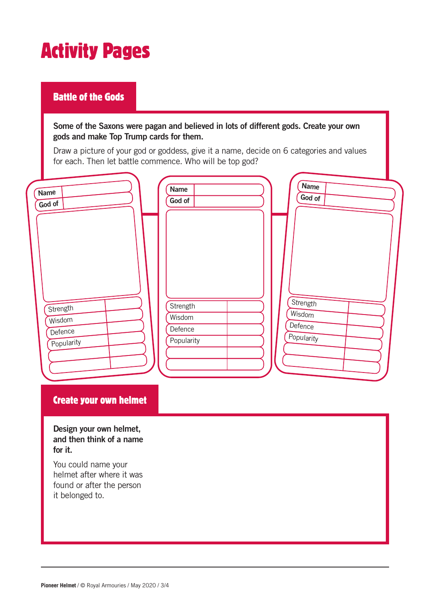# Activity Pages

#### Battle of the Gods

**Some of the Saxons were pagan and believed in lots of different gods. Create your own gods and make Top Trump cards for them.** 

Draw a picture of your god or goddess, give it a name, decide on 6 categories and values for each. Then let battle commence. Who will be top god?

| Name       | <b>Name</b> | <b>Name</b> |
|------------|-------------|-------------|
| God of     | God of      | God of      |
| Strength   | Strength    | Strength    |
| Wisdom     | Wisdom      | Wisdom      |
| Defence    | Defence     | Defence     |
| Popularity | Popularity  | Popularity  |

#### Create your own helmet

**Design your own helmet, and then think of a name for it.** 

You could name your helmet after where it was found or after the person it belonged to.